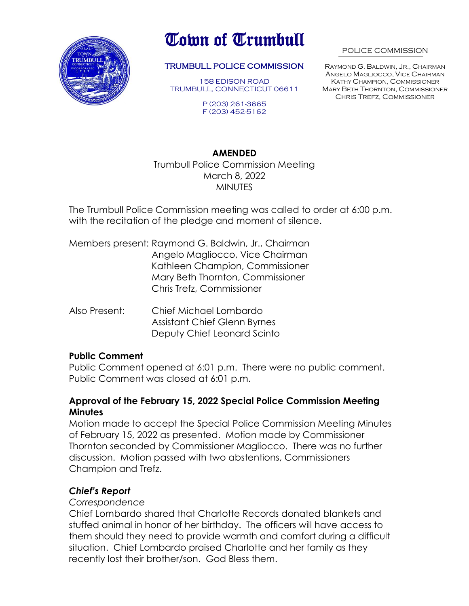

# Town of Trumbull

#### TRUMBULL POLICE COMMISSION

158 EDISON ROAD TRUMBULL, CONNECTICUT 06611

> P (203) 261-3665 F (203) 452-5162

#### POLICE COMMISSION

RAYMOND G. BALDWIN, JR., CHAIRMAN ANGELO MAGLIOCCO, VICE CHAIRMAN KATHY CHAMPION, COMMISSIONER MARY BETH THORNTON, COMMISSIONER Chris Trefz, Commissioner

#### **AMENDED**

Trumbull Police Commission Meeting March 8, 2022 **MINUTES** 

The Trumbull Police Commission meeting was called to order at 6:00 p.m. with the recitation of the pledge and moment of silence.

Members present: Raymond G. Baldwin, Jr., Chairman Angelo Magliocco, Vice Chairman Kathleen Champion, Commissioner Mary Beth Thornton, Commissioner Chris Trefz, Commissioner

Also Present: Chief Michael Lombardo Assistant Chief Glenn Byrnes Deputy Chief Leonard Scinto

#### **Public Comment**

Public Comment opened at 6:01 p.m. There were no public comment. Public Comment was closed at 6:01 p.m.

#### **Approval of the February 15, 2022 Special Police Commission Meeting Minutes**

Motion made to accept the Special Police Commission Meeting Minutes of February 15, 2022 as presented. Motion made by Commissioner Thornton seconded by Commissioner Magliocco. There was no further discussion. Motion passed with two abstentions, Commissioners Champion and Trefz.

### *Chief's Report*

#### *Correspondence*

Chief Lombardo shared that Charlotte Records donated blankets and stuffed animal in honor of her birthday. The officers will have access to them should they need to provide warmth and comfort during a difficult situation. Chief Lombardo praised Charlotte and her family as they recently lost their brother/son. God Bless them.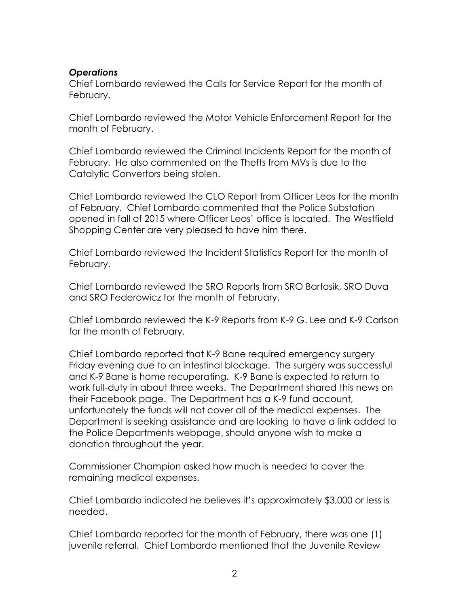### *Operations*

Chief Lombardo reviewed the Calls for Service Report for the month of February.

Chief Lombardo reviewed the Motor Vehicle Enforcement Report for the month of February.

Chief Lombardo reviewed the Criminal Incidents Report for the month of February. He also commented on the Thefts from MVs is due to the Catalytic Convertors being stolen.

Chief Lombardo reviewed the CLO Report from Officer Leos for the month of February. Chief Lombardo commented that the Police Substation opened in fall of 2015 where Officer Leos' office is located. The Westfield Shopping Center are very pleased to have him there.

Chief Lombardo reviewed the Incident Statistics Report for the month of February.

Chief Lombardo reviewed the SRO Reports from SRO Bartosik, SRO Duva and SRO Federowicz for the month of February.

Chief Lombardo reviewed the K-9 Reports from K-9 G. Lee and K-9 Carlson for the month of February.

Chief Lombardo reported that K-9 Bane required emergency surgery Friday evening due to an intestinal blockage. The surgery was successful and K-9 Bane is home recuperating. K-9 Bane is expected to return to work full-duty in about three weeks. The Department shared this news on their Facebook page. The Department has a K-9 fund account, unfortunately the funds will not cover all of the medical expenses. The Department is seeking assistance and are looking to have a link added to the Police Departments webpage, should anyone wish to make a donation throughout the year.

Commissioner Champion asked how much is needed to cover the remaining medical expenses.

Chief Lombardo indicated he believes it's approximately \$3,000 or less is needed.

Chief Lombardo reported for the month of February, there was one (1) juvenile referral. Chief Lombardo mentioned that the Juvenile Review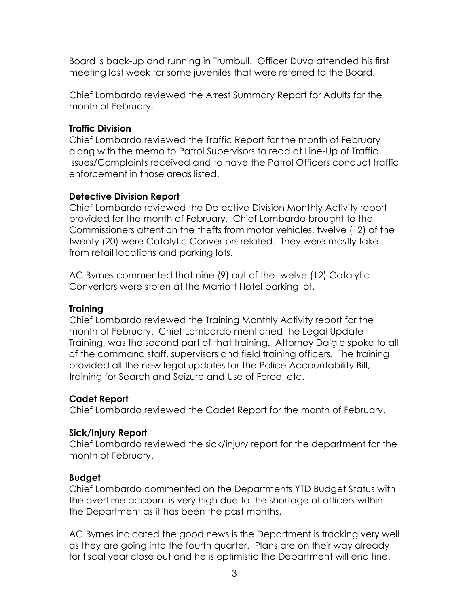Board is back-up and running in Trumbull. Officer Duva attended his first meeting last week for some juveniles that were referred to the Board.

Chief Lombardo reviewed the Arrest Summary Report for Adults for the month of February.

# **Traffic Division**

Chief Lombardo reviewed the Traffic Report for the month of February along with the memo to Patrol Supervisors to read at Line-Up of Traffic Issues/Complaints received and to have the Patrol Officers conduct traffic enforcement in those areas listed.

## **Detective Division Report**

Chief Lombardo reviewed the Detective Division Monthly Activity report provided for the month of February. Chief Lombardo brought to the Commissioners attention the thefts from motor vehicles, twelve (12) of the twenty (20) were Catalytic Convertors related. They were mostly take from retail locations and parking lots.

AC Byrnes commented that nine (9) out of the twelve (12) Catalytic Convertors were stolen at the Marriott Hotel parking lot.

# **Training**

Chief Lombardo reviewed the Training Monthly Activity report for the month of February. Chief Lombardo mentioned the Legal Update Training, was the second part of that training. Attorney Daigle spoke to all of the command staff, supervisors and field training officers. The training provided all the new legal updates for the Police Accountability Bill, training for Search and Seizure and Use of Force, etc.

# **Cadet Report**

Chief Lombardo reviewed the Cadet Report for the month of February.

# **Sick/Injury Report**

Chief Lombardo reviewed the sick/injury report for the department for the month of February.

# **Budget**

Chief Lombardo commented on the Departments YTD Budget Status with the overtime account is very high due to the shortage of officers within the Department as it has been the past months.

AC Byrnes indicated the good news is the Department is tracking very well as they are going into the fourth quarter. Plans are on their way already for fiscal year close out and he is optimistic the Department will end fine.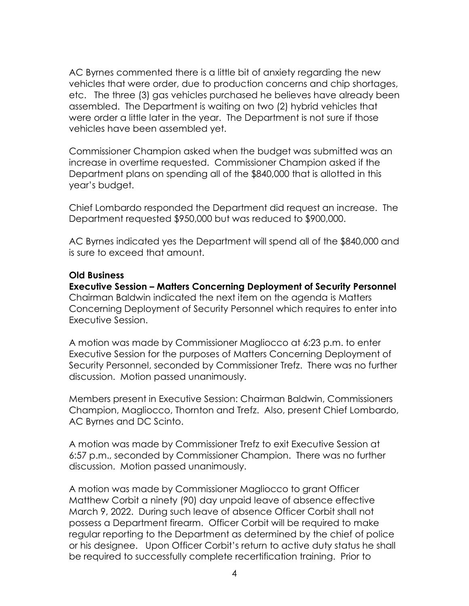AC Byrnes commented there is a little bit of anxiety regarding the new vehicles that were order, due to production concerns and chip shortages, etc. The three (3) gas vehicles purchased he believes have already been assembled. The Department is waiting on two (2) hybrid vehicles that were order a little later in the year. The Department is not sure if those vehicles have been assembled yet.

Commissioner Champion asked when the budget was submitted was an increase in overtime requested. Commissioner Champion asked if the Department plans on spending all of the \$840,000 that is allotted in this year's budget.

Chief Lombardo responded the Department did request an increase. The Department requested \$950,000 but was reduced to \$900,000.

AC Byrnes indicated yes the Department will spend all of the \$840,000 and is sure to exceed that amount.

#### **Old Business**

**Executive Session – Matters Concerning Deployment of Security Personnel** Chairman Baldwin indicated the next item on the agenda is Matters Concerning Deployment of Security Personnel which requires to enter into Executive Session.

A motion was made by Commissioner Magliocco at 6:23 p.m. to enter Executive Session for the purposes of Matters Concerning Deployment of Security Personnel, seconded by Commissioner Trefz. There was no further discussion. Motion passed unanimously.

Members present in Executive Session: Chairman Baldwin, Commissioners Champion, Magliocco, Thornton and Trefz. Also, present Chief Lombardo, AC Byrnes and DC Scinto.

A motion was made by Commissioner Trefz to exit Executive Session at 6:57 p.m., seconded by Commissioner Champion. There was no further discussion. Motion passed unanimously.

A motion was made by Commissioner Magliocco to grant Officer Matthew Corbit a ninety (90) day unpaid leave of absence effective March 9, 2022. During such leave of absence Officer Corbit shall not possess a Department firearm. Officer Corbit will be required to make regular reporting to the Department as determined by the chief of police or his designee. Upon Officer Corbit's return to active duty status he shall be required to successfully complete recertification training. Prior to